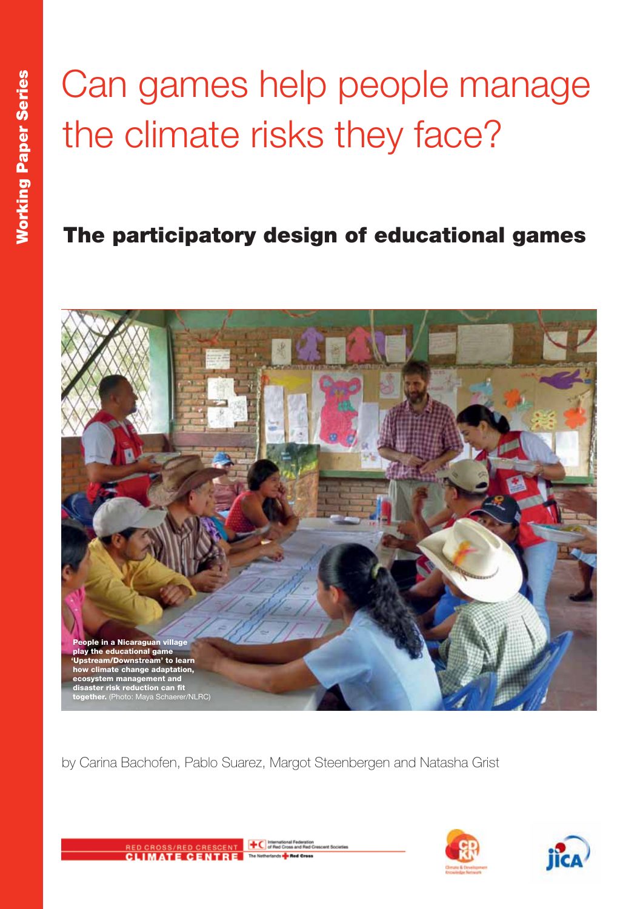# Can games help people manage the climate risks they face?

### The participatory design of educational games



by Carina Bachofen, Pablo Suarez, Margot Steenbergen and Natasha Grist





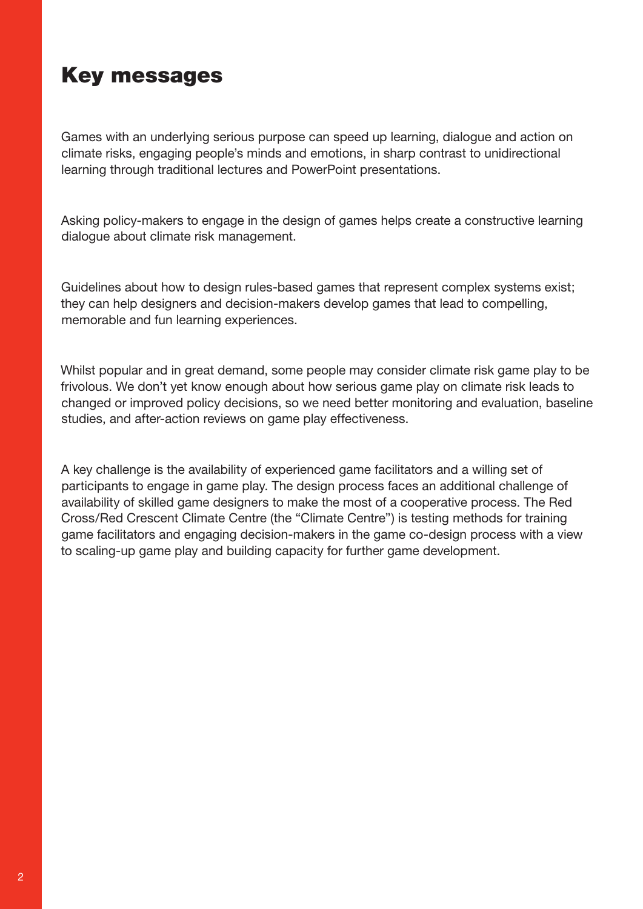### Key messages

Games with an underlying serious purpose can speed up learning, dialogue and action on climate risks, engaging people's minds and emotions, in sharp contrast to unidirectional learning through traditional lectures and PowerPoint presentations.

Asking policy-makers to engage in the design of games helps create a constructive learning dialogue about climate risk management.

Guidelines about how to design rules-based games that represent complex systems exist; they can help designers and decision-makers develop games that lead to compelling, memorable and fun learning experiences.

Whilst popular and in great demand, some people may consider climate risk game play to be frivolous. We don't yet know enough about how serious game play on climate risk leads to changed or improved policy decisions, so we need better monitoring and evaluation, baseline studies, and after-action reviews on game play effectiveness.

A key challenge is the availability of experienced game facilitators and a willing set of participants to engage in game play. The design process faces an additional challenge of availability of skilled game designers to make the most of a cooperative process. The Red Cross/Red Crescent Climate Centre (the "Climate Centre") is testing methods for training game facilitators and engaging decision-makers in the game co-design process with a view to scaling-up game play and building capacity for further game development.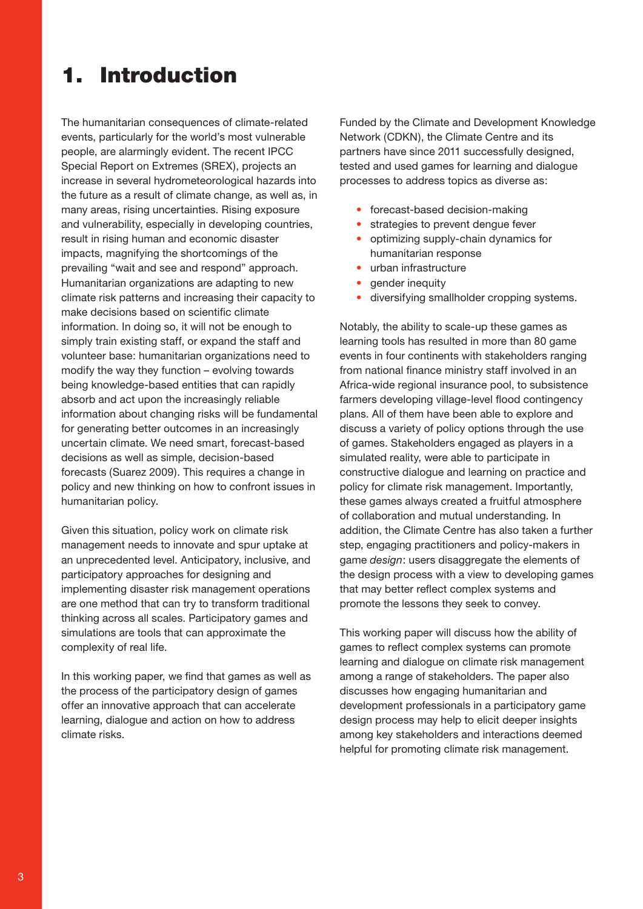### 1. Introduction

The humanitarian consequences of climate-related events, particularly for the world's most vulnerable people, are alarmingly evident. The recent IPCC Special Report on Extremes (SREX), projects an increase in several hydrometeorological hazards into the future as a result of climate change, as well as, in many areas, rising uncertainties. Rising exposure and vulnerability, especially in developing countries, result in rising human and economic disaster impacts, magnifying the shortcomings of the prevailing "wait and see and respond" approach. Humanitarian organizations are adapting to new climate risk patterns and increasing their capacity to make decisions based on scientific climate information. In doing so, it will not be enough to simply train existing staff, or expand the staff and volunteer base: humanitarian organizations need to modify the way they function – evolving towards being knowledge-based entities that can rapidly absorb and act upon the increasingly reliable information about changing risks will be fundamental for generating better outcomes in an increasingly uncertain climate. We need smart, forecast-based decisions as well as simple, decision-based forecasts (Suarez 2009). This requires a change in policy and new thinking on how to confront issues in humanitarian policy.

Given this situation, policy work on climate risk management needs to innovate and spur uptake at an unprecedented level. Anticipatory, inclusive, and participatory approaches for designing and implementing disaster risk management operations are one method that can try to transform traditional thinking across all scales. Participatory games and simulations are tools that can approximate the complexity of real life.

In this working paper, we find that games as well as the process of the participatory design of games offer an innovative approach that can accelerate learning, dialogue and action on how to address climate risks.

Funded by the Climate and Development Knowledge Network (CDKN), the Climate Centre and its partners have since 2011 successfully designed, tested and used games for learning and dialogue processes to address topics as diverse as:

- forecast-based decision-making
- strategies to prevent dengue fever
- optimizing supply-chain dynamics for humanitarian response
- urban infrastructure
- gender inequity
- diversifying smallholder cropping systems.

Notably, the ability to scale-up these games as learning tools has resulted in more than 80 game events in four continents with stakeholders ranging from national finance ministry staff involved in an Africa-wide regional insurance pool, to subsistence farmers developing village-level flood contingency plans. All of them have been able to explore and discuss a variety of policy options through the use of games. Stakeholders engaged as players in a simulated reality, were able to participate in constructive dialogue and learning on practice and policy for climate risk management. Importantly, these games always created a fruitful atmosphere of collaboration and mutual understanding. In addition, the Climate Centre has also taken a further step, engaging practitioners and policy-makers in game *design*: users disaggregate the elements of the design process with a view to developing games that may better reflect complex systems and promote the lessons they seek to convey.

This working paper will discuss how the ability of games to reflect complex systems can promote learning and dialogue on climate risk management among a range of stakeholders. The paper also discusses how engaging humanitarian and development professionals in a participatory game design process may help to elicit deeper insights among key stakeholders and interactions deemed helpful for promoting climate risk management.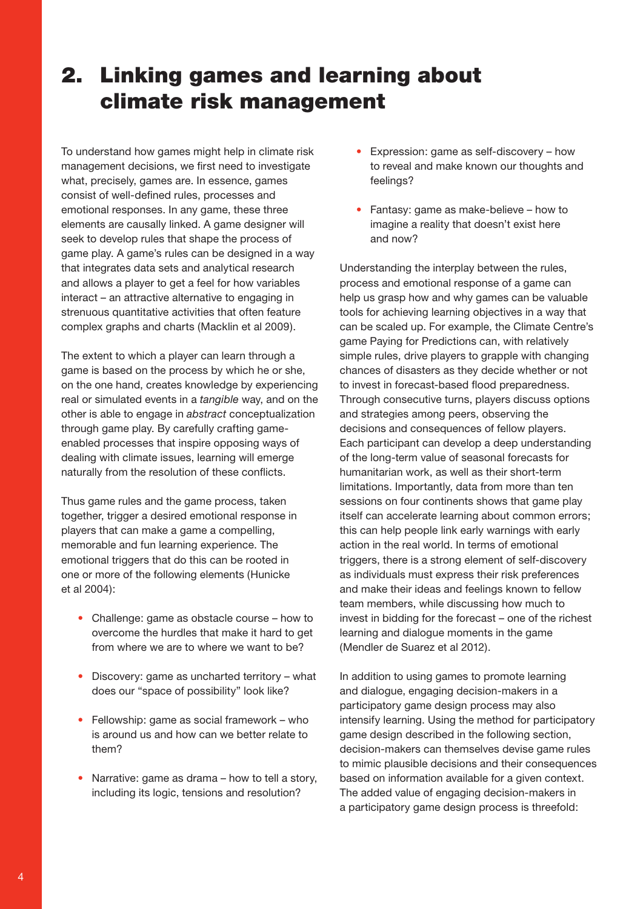### 2. Linking games and learning about climate risk management

To understand how games might help in climate risk management decisions, we first need to investigate what, precisely, games are. In essence, games consist of well-defined rules, processes and emotional responses. In any game, these three elements are causally linked. A game designer will seek to develop rules that shape the process of game play. A game's rules can be designed in a way that integrates data sets and analytical research and allows a player to get a feel for how variables interact – an attractive alternative to engaging in strenuous quantitative activities that often feature complex graphs and charts (Macklin et al 2009).

The extent to which a player can learn through a game is based on the process by which he or she, on the one hand, creates knowledge by experiencing real or simulated events in a *tangible* way, and on the other is able to engage in *abstract* conceptualization through game play. By carefully crafting gameenabled processes that inspire opposing ways of dealing with climate issues, learning will emerge naturally from the resolution of these conflicts.

Thus game rules and the game process, taken together, trigger a desired emotional response in players that can make a game a compelling, memorable and fun learning experience. The emotional triggers that do this can be rooted in one or more of the following elements (Hunicke et al 2004):

- Challenge: game as obstacle course how to overcome the hurdles that make it hard to get from where we are to where we want to be?
- Discovery: game as uncharted territory what does our "space of possibility" look like?
- Fellowship: game as social framework who is around us and how can we better relate to them?
- Narrative: game as drama how to tell a story. including its logic, tensions and resolution?
- Expression: game as self-discovery how to reveal and make known our thoughts and feelings?
- Fantasy: game as make-believe how to imagine a reality that doesn't exist here and now?

Understanding the interplay between the rules, process and emotional response of a game can help us grasp how and why games can be valuable tools for achieving learning objectives in a way that can be scaled up. For example, the Climate Centre's game Paying for Predictions can, with relatively simple rules, drive players to grapple with changing chances of disasters as they decide whether or not to invest in forecast-based flood preparedness. Through consecutive turns, players discuss options and strategies among peers, observing the decisions and consequences of fellow players. Each participant can develop a deep understanding of the long-term value of seasonal forecasts for humanitarian work, as well as their short-term limitations. Importantly, data from more than ten sessions on four continents shows that game play itself can accelerate learning about common errors; this can help people link early warnings with early action in the real world. In terms of emotional triggers, there is a strong element of self-discovery as individuals must express their risk preferences and make their ideas and feelings known to fellow team members, while discussing how much to invest in bidding for the forecast – one of the richest learning and dialogue moments in the game (Mendler de Suarez et al 2012).

In addition to using games to promote learning and dialogue, engaging decision-makers in a participatory game design process may also intensify learning. Using the method for participatory game design described in the following section, decision-makers can themselves devise game rules to mimic plausible decisions and their consequences based on information available for a given context. The added value of engaging decision-makers in a participatory game design process is threefold: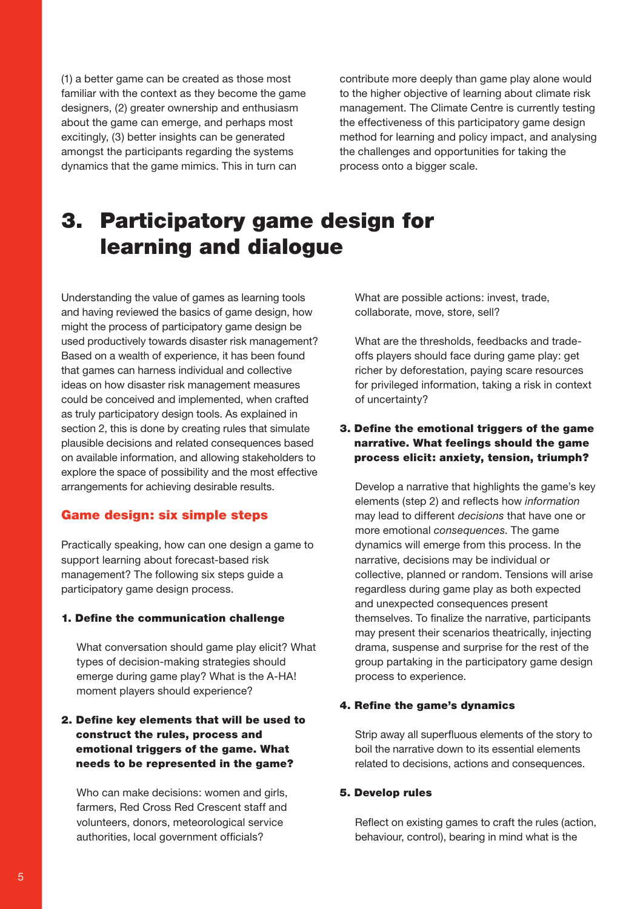(1) a better game can be created as those most familiar with the context as they become the game designers, (2) greater ownership and enthusiasm about the game can emerge, and perhaps most excitingly, (3) better insights can be generated amongst the participants regarding the systems dynamics that the game mimics. This in turn can

contribute more deeply than game play alone would to the higher objective of learning about climate risk management. The Climate Centre is currently testing the effectiveness of this participatory game design method for learning and policy impact, and analysing the challenges and opportunities for taking the process onto a bigger scale.

### 3. Participatory game design for learning and dialogue

Understanding the value of games as learning tools and having reviewed the basics of game design, how might the process of participatory game design be used productively towards disaster risk management? Based on a wealth of experience, it has been found that games can harness individual and collective ideas on how disaster risk management measures could be conceived and implemented, when crafted as truly participatory design tools. As explained in section 2, this is done by creating rules that simulate plausible decisions and related consequences based on available information, and allowing stakeholders to explore the space of possibility and the most effective arrangements for achieving desirable results.

### Game design: six simple steps

Practically speaking, how can one design a game to support learning about forecast-based risk management? The following six steps guide a participatory game design process.

#### 1. Define the communication challenge

What conversation should game play elicit? What types of decision-making strategies should emerge during game play? What is the A-HA! moment players should experience?

### 2. Define key elements that will be used to construct the rules, process and emotional triggers of the game. What needs to be represented in the game?

Who can make decisions: women and girls, farmers, Red Cross Red Crescent staff and volunteers, donors, meteorological service authorities, local government officials?

What are possible actions: invest, trade, collaborate, move, store, sell?

What are the thresholds, feedbacks and tradeoffs players should face during game play: get richer by deforestation, paying scare resources for privileged information, taking a risk in context of uncertainty?

### 3. Define the emotional triggers of the game narrative. What feelings should the game process elicit: anxiety, tension, triumph?

Develop a narrative that highlights the game's key elements (step 2) and reflects how *information* may lead to different *decisions* that have one or more emotional *consequences*. The game dynamics will emerge from this process. In the narrative, decisions may be individual or collective, planned or random. Tensions will arise regardless during game play as both expected and unexpected consequences present themselves. To finalize the narrative, participants may present their scenarios theatrically, injecting drama, suspense and surprise for the rest of the group partaking in the participatory game design process to experience.

#### 4. Refine the game's dynamics

Strip away all superfluous elements of the story to boil the narrative down to its essential elements related to decisions, actions and consequences.

#### 5. Develop rules

Reflect on existing games to craft the rules (action, behaviour, control), bearing in mind what is the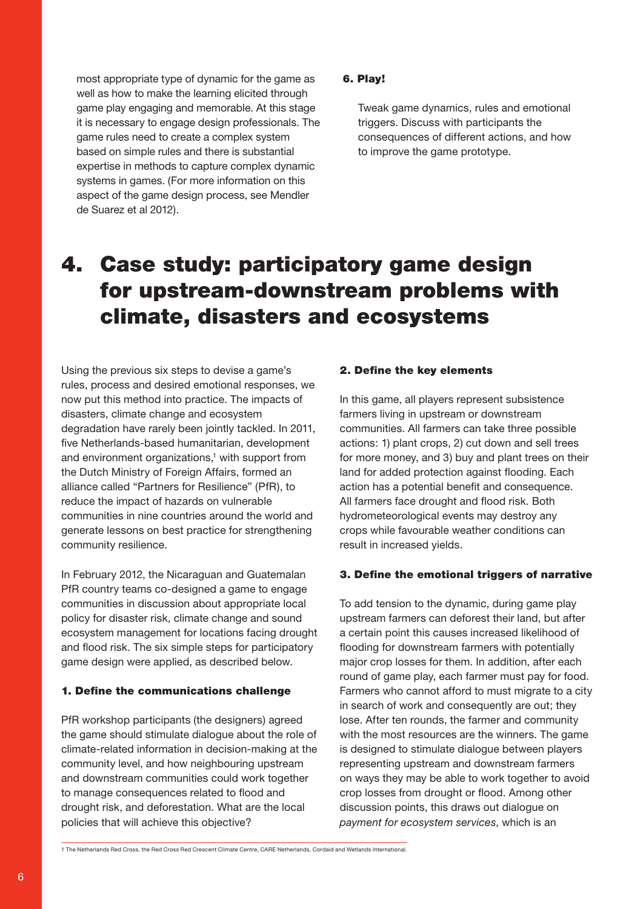most appropriate type of dynamic for the game as well as how to make the learning elicited through game play engaging and memorable. At this stage it is necessary to engage design professionals. The game rules need to create a complex system based on simple rules and there is substantial expertise in methods to capture complex dynamic systems in games. (For more information on this aspect of the game design process, see Mendler de Suarez et al 2012).

#### 6. Play!

Tweak game dynamics, rules and emotional triggers. Discuss with participants the consequences of different actions, and how to improve the game prototype.

### 4. Case study: participatory game design for upstream-downstream problems with climate, disasters and ecosystems

Using the previous six steps to devise a game's rules, process and desired emotional responses, we now put this method into practice. The impacts of disasters, climate change and ecosystem degradation have rarely been jointly tackled. In 2011, five Netherlands-based humanitarian, development and environment organizations,<sup>1</sup> with support from the Dutch Ministry of Foreign Affairs, formed an alliance called "Partners for Resilience" (PfR), to reduce the impact of hazards on vulnerable communities in nine countries around the world and generate lessons on best practice for strengthening community resilience.

In February 2012, the Nicaraguan and Guatemalan PfR country teams co-designed a game to engage communities in discussion about appropriate local policy for disaster risk, climate change and sound ecosystem management for locations facing drought and flood risk. The six simple steps for participatory game design were applied, as described below.

#### 1. Define the communications challenge

PfR workshop participants (the designers) agreed the game should stimulate dialogue about the role of climate-related information in decision-making at the community level, and how neighbouring upstream and downstream communities could work together to manage consequences related to flood and drought risk, and deforestation. What are the local policies that will achieve this objective?

#### 2. Define the key elements

In this game, all players represent subsistence farmers living in upstream or downstream communities. All farmers can take three possible actions: 1) plant crops, 2) cut down and sell trees for more money, and 3) buy and plant trees on their land for added protection against flooding. Each action has a potential benefit and consequence. All farmers face drought and flood risk. Both hydrometeorological events may destroy any crops while favourable weather conditions can result in increased yields.

#### 3. Define the emotional triggers of narrative

To add tension to the dynamic, during game play upstream farmers can deforest their land, but after a certain point this causes increased likelihood of flooding for downstream farmers with potentially major crop losses for them. In addition, after each round of game play, each farmer must pay for food. Farmers who cannot afford to must migrate to a city in search of work and consequently are out; they lose. After ten rounds, the farmer and community with the most resources are the winners. The game is designed to stimulate dialogue between players representing upstream and downstream farmers on ways they may be able to work together to avoid crop losses from drought or flood. Among other discussion points, this draws out dialogue on *payment for ecosystem services*, which is an

<sup>1</sup> The Netherlands Red Cross, the Red Cross Red Crescent Climate Centre, CARE Netherlands, Cordaid and Wetlands International.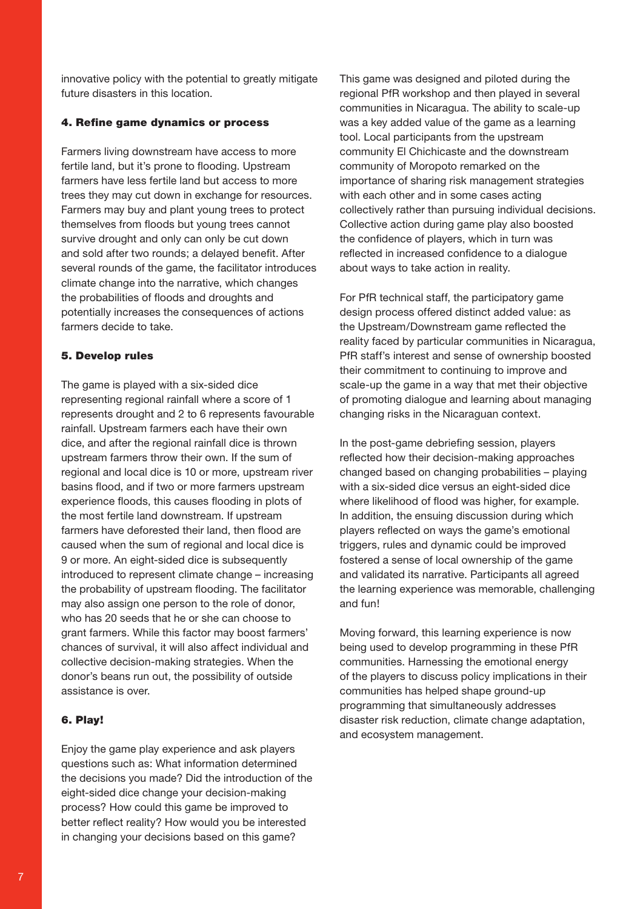innovative policy with the potential to greatly mitigate future disasters in this location.

#### 4. Refine game dynamics or process

Farmers living downstream have access to more fertile land, but it's prone to flooding. Upstream farmers have less fertile land but access to more trees they may cut down in exchange for resources. Farmers may buy and plant young trees to protect themselves from floods but young trees cannot survive drought and only can only be cut down and sold after two rounds; a delayed benefit. After several rounds of the game, the facilitator introduces climate change into the narrative, which changes the probabilities of floods and droughts and potentially increases the consequences of actions farmers decide to take.

#### 5. Develop rules

The game is played with a six-sided dice representing regional rainfall where a score of 1 represents drought and 2 to 6 represents favourable rainfall. Upstream farmers each have their own dice, and after the regional rainfall dice is thrown upstream farmers throw their own. If the sum of regional and local dice is 10 or more, upstream river basins flood, and if two or more farmers upstream experience floods, this causes flooding in plots of the most fertile land downstream. If upstream farmers have deforested their land, then flood are caused when the sum of regional and local dice is 9 or more. An eight-sided dice is subsequently introduced to represent climate change – increasing the probability of upstream flooding. The facilitator may also assign one person to the role of donor, who has 20 seeds that he or she can choose to grant farmers. While this factor may boost farmers' chances of survival, it will also affect individual and collective decision-making strategies. When the donor's beans run out, the possibility of outside assistance is over.

### 6. Play!

Enjoy the game play experience and ask players questions such as: What information determined the decisions you made? Did the introduction of the eight-sided dice change your decision-making process? How could this game be improved to better reflect reality? How would you be interested in changing your decisions based on this game?

This game was designed and piloted during the regional PfR workshop and then played in several communities in Nicaragua. The ability to scale-up was a key added value of the game as a learning tool. Local participants from the upstream community El Chichicaste and the downstream community of Moropoto remarked on the importance of sharing risk management strategies with each other and in some cases acting collectively rather than pursuing individual decisions. Collective action during game play also boosted the confidence of players, which in turn was reflected in increased confidence to a dialogue about ways to take action in reality.

For PfR technical staff, the participatory game design process offered distinct added value: as the Upstream/Downstream game reflected the reality faced by particular communities in Nicaragua, PfR staff's interest and sense of ownership boosted their commitment to continuing to improve and scale-up the game in a way that met their objective of promoting dialogue and learning about managing changing risks in the Nicaraguan context.

In the post-game debriefing session, players reflected how their decision-making approaches changed based on changing probabilities – playing with a six-sided dice versus an eight-sided dice where likelihood of flood was higher, for example. In addition, the ensuing discussion during which players reflected on ways the game's emotional triggers, rules and dynamic could be improved fostered a sense of local ownership of the game and validated its narrative. Participants all agreed the learning experience was memorable, challenging and fun!

Moving forward, this learning experience is now being used to develop programming in these PfR communities. Harnessing the emotional energy of the players to discuss policy implications in their communities has helped shape ground-up programming that simultaneously addresses disaster risk reduction, climate change adaptation, and ecosystem management.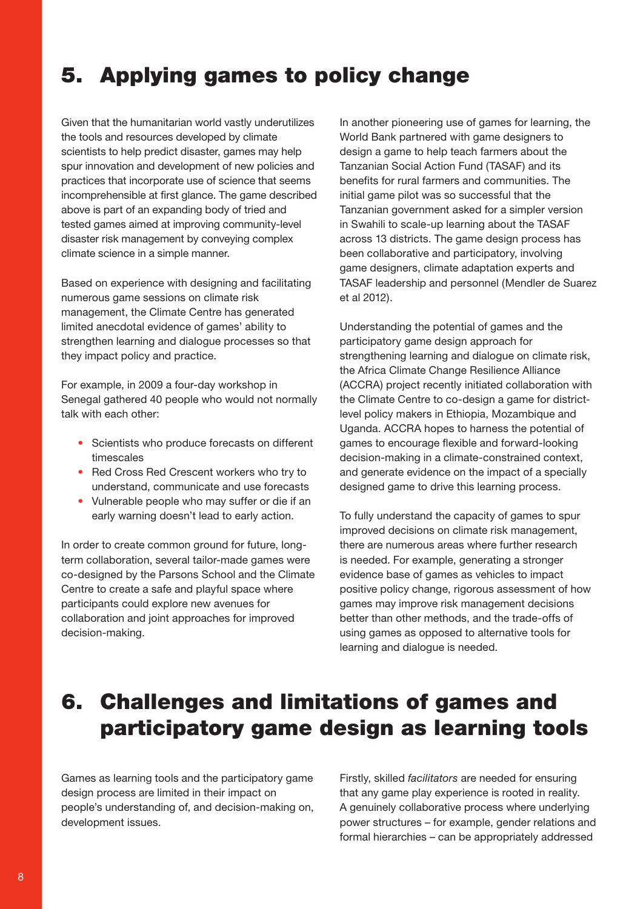### 5. Applying games to policy change

Given that the humanitarian world vastly underutilizes the tools and resources developed by climate scientists to help predict disaster, games may help spur innovation and development of new policies and practices that incorporate use of science that seems incomprehensible at first glance. The game described above is part of an expanding body of tried and tested games aimed at improving community-level disaster risk management by conveying complex climate science in a simple manner.

Based on experience with designing and facilitating numerous game sessions on climate risk management, the Climate Centre has generated limited anecdotal evidence of games' ability to strengthen learning and dialogue processes so that they impact policy and practice.

For example, in 2009 a four-day workshop in Senegal gathered 40 people who would not normally talk with each other:

- Scientists who produce forecasts on different timescales
- Red Cross Red Crescent workers who try to understand, communicate and use forecasts
- Vulnerable people who may suffer or die if an early warning doesn't lead to early action.

In order to create common ground for future, longterm collaboration, several tailor-made games were co-designed by the Parsons School and the Climate Centre to create a safe and playful space where participants could explore new avenues for collaboration and joint approaches for improved decision-making.

In another pioneering use of games for learning, the World Bank partnered with game designers to design a game to help teach farmers about the Tanzanian Social Action Fund (TASAF) and its benefits for rural farmers and communities. The initial game pilot was so successful that the Tanzanian government asked for a simpler version in Swahili to scale-up learning about the TASAF across 13 districts. The game design process has been collaborative and participatory, involving game designers, climate adaptation experts and TASAF leadership and personnel (Mendler de Suarez et al 2012).

Understanding the potential of games and the participatory game design approach for strengthening learning and dialogue on climate risk, the Africa Climate Change Resilience Alliance (ACCRA) project recently initiated collaboration with the Climate Centre to co-design a game for districtlevel policy makers in Ethiopia, Mozambique and Uganda. ACCRA hopes to harness the potential of games to encourage flexible and forward-looking decision-making in a climate-constrained context, and generate evidence on the impact of a specially designed game to drive this learning process.

To fully understand the capacity of games to spur improved decisions on climate risk management, there are numerous areas where further research is needed. For example, generating a stronger evidence base of games as vehicles to impact positive policy change, rigorous assessment of how games may improve risk management decisions better than other methods, and the trade-offs of using games as opposed to alternative tools for learning and dialogue is needed.

### 6. Challenges and limitations of games and participatory game design as learning tools

Games as learning tools and the participatory game design process are limited in their impact on people's understanding of, and decision-making on, development issues.

Firstly, skilled *facilitators* are needed for ensuring that any game play experience is rooted in reality. A genuinely collaborative process where underlying power structures – for example, gender relations and formal hierarchies – can be appropriately addressed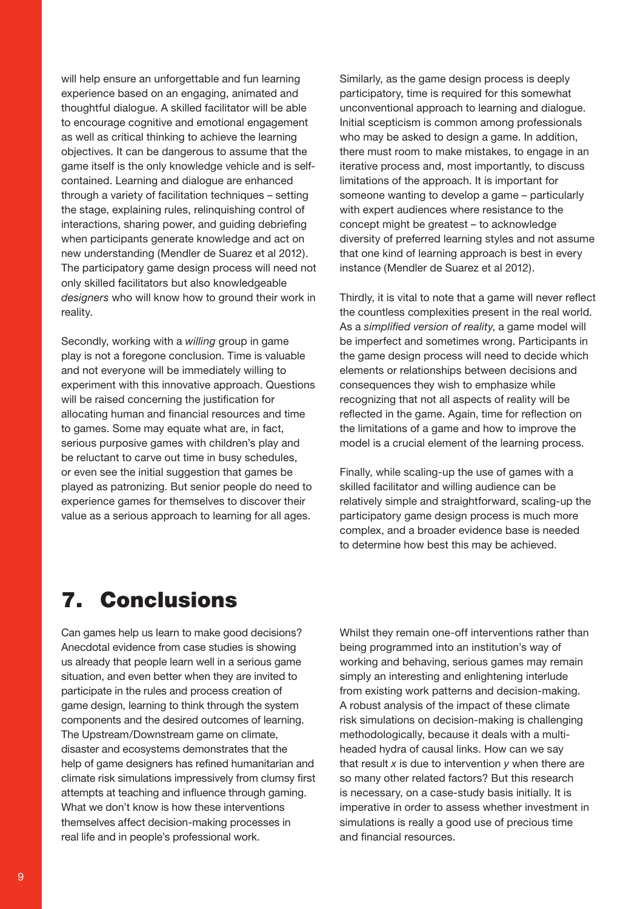will help ensure an unforgettable and fun learning experience based on an engaging, animated and thoughtful dialogue. A skilled facilitator will be able to encourage cognitive and emotional engagement as well as critical thinking to achieve the learning objectives. It can be dangerous to assume that the game itself is the only knowledge vehicle and is selfcontained. Learning and dialogue are enhanced through a variety of facilitation techniques – setting the stage, explaining rules, relinquishing control of interactions, sharing power, and guiding debriefing when participants generate knowledge and act on new understanding (Mendler de Suarez et al 2012). The participatory game design process will need not only skilled facilitators but also knowledgeable *designers* who will know how to ground their work in reality.

Secondly, working with a *willing* group in game play is not a foregone conclusion. Time is valuable and not everyone will be immediately willing to experiment with this innovative approach. Questions will be raised concerning the justification for allocating human and financial resources and time to games. Some may equate what are, in fact, serious purposive games with children's play and be reluctant to carve out time in busy schedules, or even see the initial suggestion that games be played as patronizing. But senior people do need to experience games for themselves to discover their value as a serious approach to learning for all ages.

Similarly, as the game design process is deeply participatory, time is required for this somewhat unconventional approach to learning and dialogue. Initial scepticism is common among professionals who may be asked to design a game. In addition, there must room to make mistakes, to engage in an iterative process and, most importantly, to discuss limitations of the approach. It is important for someone wanting to develop a game – particularly with expert audiences where resistance to the concept might be greatest – to acknowledge diversity of preferred learning styles and not assume that one kind of learning approach is best in every instance (Mendler de Suarez et al 2012).

Thirdly, it is vital to note that a game will never reflect the countless complexities present in the real world. As a *simplified version of reality*, a game model will be imperfect and sometimes wrong. Participants in the game design process will need to decide which elements or relationships between decisions and consequences they wish to emphasize while recognizing that not all aspects of reality will be reflected in the game. Again, time for reflection on the limitations of a game and how to improve the model is a crucial element of the learning process.

Finally, while scaling-up the use of games with a skilled facilitator and willing audience can be relatively simple and straightforward, scaling-up the participatory game design process is much more complex, and a broader evidence base is needed to determine how best this may be achieved.

### 7. Conclusions

Can games help us learn to make good decisions? Anecdotal evidence from case studies is showing us already that people learn well in a serious game situation, and even better when they are invited to participate in the rules and process creation of game design, learning to think through the system components and the desired outcomes of learning. The Upstream/Downstream game on climate, disaster and ecosystems demonstrates that the help of game designers has refined humanitarian and climate risk simulations impressively from clumsy first attempts at teaching and influence through gaming. What we don't know is how these interventions themselves affect decision-making processes in real life and in people's professional work.

Whilst they remain one-off interventions rather than being programmed into an institution's way of working and behaving, serious games may remain simply an interesting and enlightening interlude from existing work patterns and decision-making. A robust analysis of the impact of these climate risk simulations on decision-making is challenging methodologically, because it deals with a multiheaded hydra of causal links. How can we say that result *x* is due to intervention *y* when there are so many other related factors? But this research is necessary, on a case-study basis initially. It is imperative in order to assess whether investment in simulations is really a good use of precious time and financial resources.